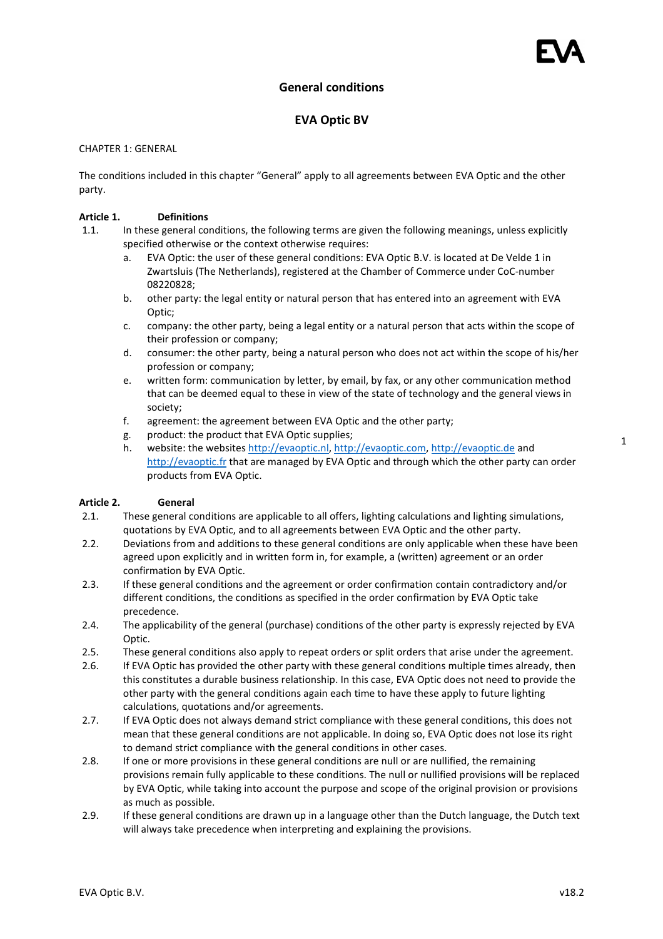# General conditions

# EVA Optic BV

# CHAPTER 1: GENERAL

The conditions included in this chapter "General" apply to all agreements between EVA Optic and the other party.

### Article 1. Definitions

- 1.1. In these general conditions, the following terms are given the following meanings, unless explicitly specified otherwise or the context otherwise requires:
	- a. EVA Optic: the user of these general conditions: EVA Optic B.V. is located at De Velde 1 in Zwartsluis (The Netherlands), registered at the Chamber of Commerce under CoC-number 08220828;
	- b. other party: the legal entity or natural person that has entered into an agreement with EVA Optic;
	- c. company: the other party, being a legal entity or a natural person that acts within the scope of their profession or company;
	- d. consumer: the other party, being a natural person who does not act within the scope of his/her profession or company;
	- e. written form: communication by letter, by email, by fax, or any other communication method that can be deemed equal to these in view of the state of technology and the general views in society;
	- f. agreement: the agreement between EVA Optic and the other party;
	- g. product: the product that EVA Optic supplies;
	- h. website: the websites http://evaoptic.nl, http://evaoptic.com, http://evaoptic.de and http://evaoptic.fr that are managed by EVA Optic and through which the other party can order products from EVA Optic.

### Article 2. General

- 2.1. These general conditions are applicable to all offers, lighting calculations and lighting simulations, quotations by EVA Optic, and to all agreements between EVA Optic and the other party.
- 2.2. Deviations from and additions to these general conditions are only applicable when these have been agreed upon explicitly and in written form in, for example, a (written) agreement or an order confirmation by EVA Optic.
- 2.3. If these general conditions and the agreement or order confirmation contain contradictory and/or different conditions, the conditions as specified in the order confirmation by EVA Optic take precedence.
- 2.4. The applicability of the general (purchase) conditions of the other party is expressly rejected by EVA Optic.
- 2.5. These general conditions also apply to repeat orders or split orders that arise under the agreement.
- 2.6. If EVA Optic has provided the other party with these general conditions multiple times already, then this constitutes a durable business relationship. In this case, EVA Optic does not need to provide the other party with the general conditions again each time to have these apply to future lighting calculations, quotations and/or agreements.
- 2.7. If EVA Optic does not always demand strict compliance with these general conditions, this does not mean that these general conditions are not applicable. In doing so, EVA Optic does not lose its right to demand strict compliance with the general conditions in other cases.
- 2.8. If one or more provisions in these general conditions are null or are nullified, the remaining provisions remain fully applicable to these conditions. The null or nullified provisions will be replaced by EVA Optic, while taking into account the purpose and scope of the original provision or provisions as much as possible.
- 2.9. If these general conditions are drawn up in a language other than the Dutch language, the Dutch text will always take precedence when interpreting and explaining the provisions.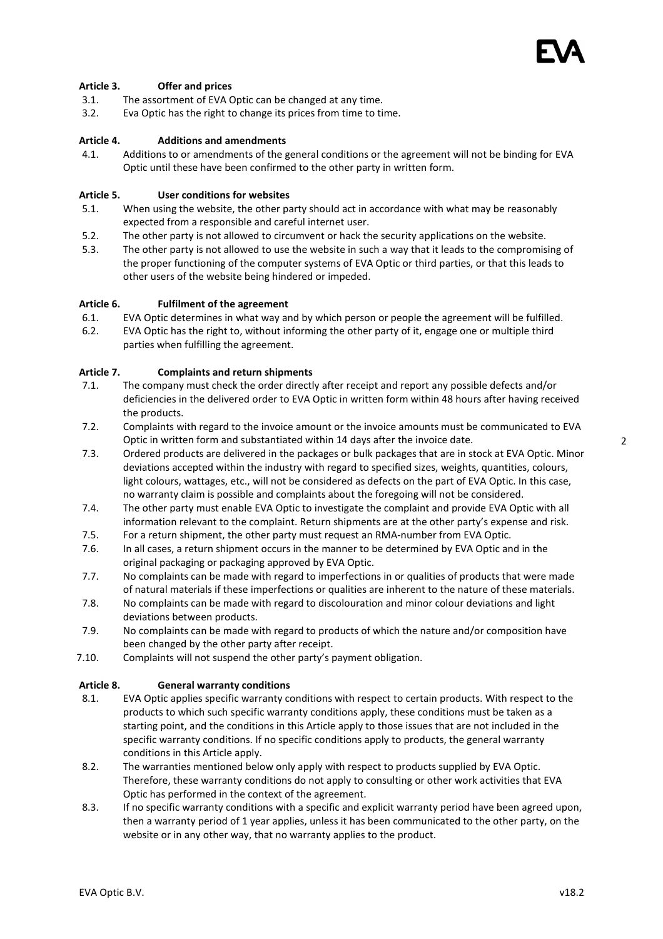# Article 3. Offer and prices

- 3.1. The assortment of EVA Optic can be changed at any time.
- 3.2. Eva Optic has the right to change its prices from time to time.

# Article 4. Additions and amendments

4.1. Additions to or amendments of the general conditions or the agreement will not be binding for EVA Optic until these have been confirmed to the other party in written form.

# Article 5. User conditions for websites

- 5.1. When using the website, the other party should act in accordance with what may be reasonably expected from a responsible and careful internet user.
- 5.2. The other party is not allowed to circumvent or hack the security applications on the website.
- 5.3. The other party is not allowed to use the website in such a way that it leads to the compromising of the proper functioning of the computer systems of EVA Optic or third parties, or that this leads to other users of the website being hindered or impeded.

# Article 6. Fulfilment of the agreement

- 6.1. EVA Optic determines in what way and by which person or people the agreement will be fulfilled.
- 6.2. EVA Optic has the right to, without informing the other party of it, engage one or multiple third parties when fulfilling the agreement.

# Article 7. Complaints and return shipments

- 7.1. The company must check the order directly after receipt and report any possible defects and/or deficiencies in the delivered order to EVA Optic in written form within 48 hours after having received the products.
- 7.2. Complaints with regard to the invoice amount or the invoice amounts must be communicated to EVA Optic in written form and substantiated within 14 days after the invoice date.
- 7.3. Ordered products are delivered in the packages or bulk packages that are in stock at EVA Optic. Minor deviations accepted within the industry with regard to specified sizes, weights, quantities, colours, light colours, wattages, etc., will not be considered as defects on the part of EVA Optic. In this case, no warranty claim is possible and complaints about the foregoing will not be considered.
- 7.4. The other party must enable EVA Optic to investigate the complaint and provide EVA Optic with all information relevant to the complaint. Return shipments are at the other party's expense and risk.
- 7.5. For a return shipment, the other party must request an RMA-number from EVA Optic.
- 7.6. In all cases, a return shipment occurs in the manner to be determined by EVA Optic and in the original packaging or packaging approved by EVA Optic.
- 7.7. No complaints can be made with regard to imperfections in or qualities of products that were made of natural materials if these imperfections or qualities are inherent to the nature of these materials.
- 7.8. No complaints can be made with regard to discolouration and minor colour deviations and light deviations between products.
- 7.9. No complaints can be made with regard to products of which the nature and/or composition have been changed by the other party after receipt.
- 7.10. Complaints will not suspend the other party's payment obligation.

### Article 8. General warranty conditions

- 8.1. EVA Optic applies specific warranty conditions with respect to certain products. With respect to the products to which such specific warranty conditions apply, these conditions must be taken as a starting point, and the conditions in this Article apply to those issues that are not included in the specific warranty conditions. If no specific conditions apply to products, the general warranty conditions in this Article apply.
- 8.2. The warranties mentioned below only apply with respect to products supplied by EVA Optic. Therefore, these warranty conditions do not apply to consulting or other work activities that EVA Optic has performed in the context of the agreement.
- 8.3. If no specific warranty conditions with a specific and explicit warranty period have been agreed upon, then a warranty period of 1 year applies, unless it has been communicated to the other party, on the website or in any other way, that no warranty applies to the product.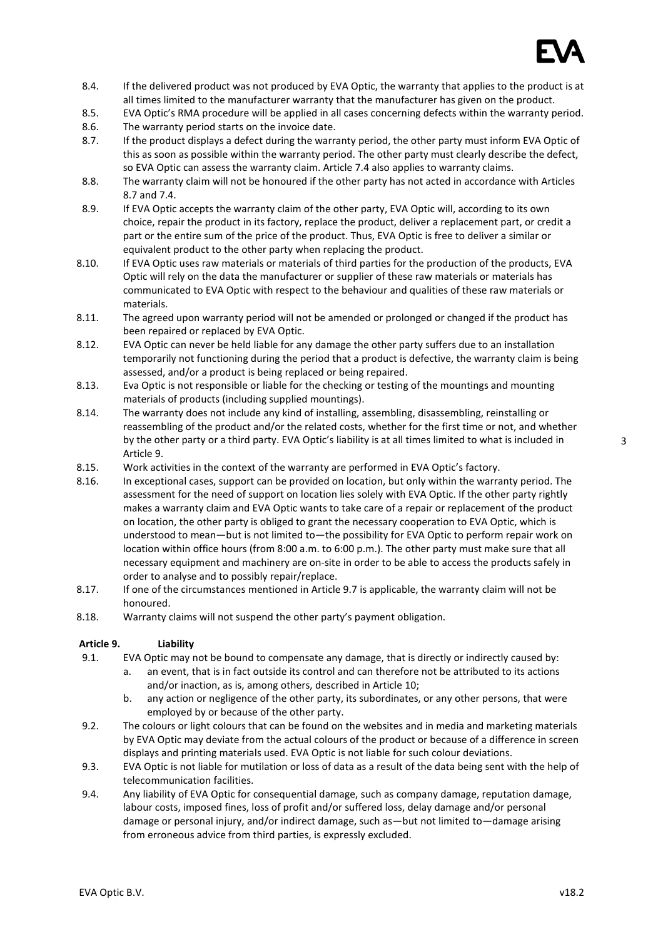

- 8.4. If the delivered product was not produced by EVA Optic, the warranty that applies to the product is at all times limited to the manufacturer warranty that the manufacturer has given on the product.
- 8.5. EVA Optic's RMA procedure will be applied in all cases concerning defects within the warranty period.
- 8.6. The warranty period starts on the invoice date.
- 8.7. If the product displays a defect during the warranty period, the other party must inform EVA Optic of this as soon as possible within the warranty period. The other party must clearly describe the defect, so EVA Optic can assess the warranty claim. Article 7.4 also applies to warranty claims.
- 8.8. The warranty claim will not be honoured if the other party has not acted in accordance with Articles 8.7 and 7.4.
- 8.9. If EVA Optic accepts the warranty claim of the other party, EVA Optic will, according to its own choice, repair the product in its factory, replace the product, deliver a replacement part, or credit a part or the entire sum of the price of the product. Thus, EVA Optic is free to deliver a similar or equivalent product to the other party when replacing the product.
- 8.10. If EVA Optic uses raw materials or materials of third parties for the production of the products, EVA Optic will rely on the data the manufacturer or supplier of these raw materials or materials has communicated to EVA Optic with respect to the behaviour and qualities of these raw materials or materials.
- 8.11. The agreed upon warranty period will not be amended or prolonged or changed if the product has been repaired or replaced by EVA Optic.
- 8.12. EVA Optic can never be held liable for any damage the other party suffers due to an installation temporarily not functioning during the period that a product is defective, the warranty claim is being assessed, and/or a product is being replaced or being repaired.
- 8.13. Eva Optic is not responsible or liable for the checking or testing of the mountings and mounting materials of products (including supplied mountings).
- 8.14. The warranty does not include any kind of installing, assembling, disassembling, reinstalling or reassembling of the product and/or the related costs, whether for the first time or not, and whether by the other party or a third party. EVA Optic's liability is at all times limited to what is included in Article 9.
- 8.15. Work activities in the context of the warranty are performed in EVA Optic's factory.
- 8.16. In exceptional cases, support can be provided on location, but only within the warranty period. The assessment for the need of support on location lies solely with EVA Optic. If the other party rightly makes a warranty claim and EVA Optic wants to take care of a repair or replacement of the product on location, the other party is obliged to grant the necessary cooperation to EVA Optic, which is understood to mean—but is not limited to—the possibility for EVA Optic to perform repair work on location within office hours (from 8:00 a.m. to 6:00 p.m.). The other party must make sure that all necessary equipment and machinery are on-site in order to be able to access the products safely in order to analyse and to possibly repair/replace.
- 8.17. If one of the circumstances mentioned in Article 9.7 is applicable, the warranty claim will not be honoured.
- 8.18. Warranty claims will not suspend the other party's payment obligation.

# Article 9. Liability

- 9.1. EVA Optic may not be bound to compensate any damage, that is directly or indirectly caused by:
	- a. an event, that is in fact outside its control and can therefore not be attributed to its actions and/or inaction, as is, among others, described in Article 10;
	- b. any action or negligence of the other party, its subordinates, or any other persons, that were employed by or because of the other party.
- 9.2. The colours or light colours that can be found on the websites and in media and marketing materials by EVA Optic may deviate from the actual colours of the product or because of a difference in screen displays and printing materials used. EVA Optic is not liable for such colour deviations.
- 9.3. EVA Optic is not liable for mutilation or loss of data as a result of the data being sent with the help of telecommunication facilities.
- 9.4. Any liability of EVA Optic for consequential damage, such as company damage, reputation damage, labour costs, imposed fines, loss of profit and/or suffered loss, delay damage and/or personal damage or personal injury, and/or indirect damage, such as—but not limited to—damage arising from erroneous advice from third parties, is expressly excluded.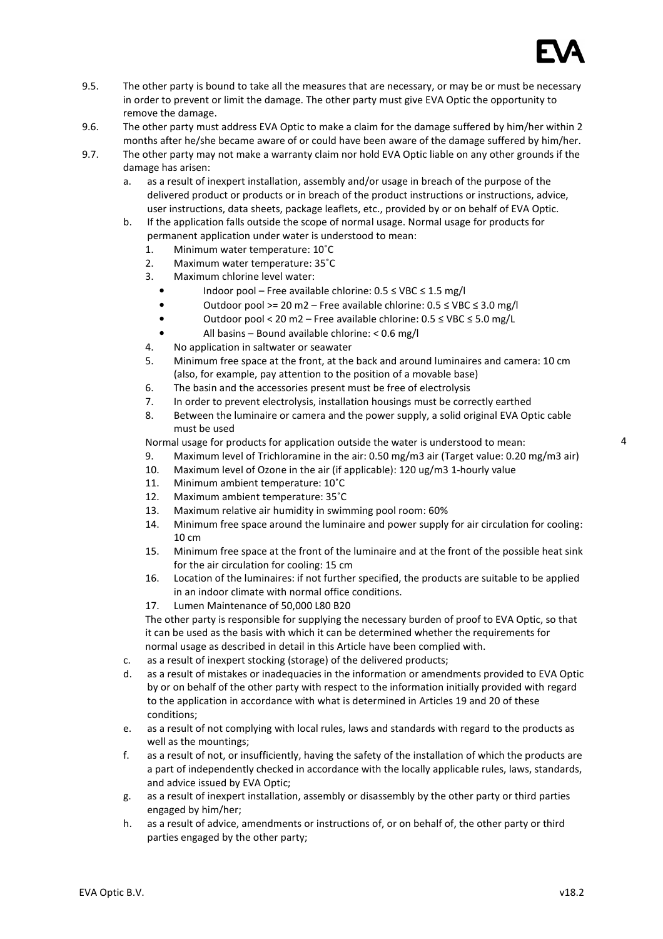

4

- 9.5. The other party is bound to take all the measures that are necessary, or may be or must be necessary in order to prevent or limit the damage. The other party must give EVA Optic the opportunity to remove the damage.
- 9.6. The other party must address EVA Optic to make a claim for the damage suffered by him/her within 2 months after he/she became aware of or could have been aware of the damage suffered by him/her.
- 9.7. The other party may not make a warranty claim nor hold EVA Optic liable on any other grounds if the damage has arisen:
	- a. as a result of inexpert installation, assembly and/or usage in breach of the purpose of the delivered product or products or in breach of the product instructions or instructions, advice, user instructions, data sheets, package leaflets, etc., provided by or on behalf of EVA Optic.
	- b. If the application falls outside the scope of normal usage. Normal usage for products for permanent application under water is understood to mean:
		- 1. Minimum water temperature: 10˚C
		- 2. Maximum water temperature: 35˚C
		- 3. Maximum chlorine level water:
			- Indoor pool Free available chlorine: 0.5 ≤ VBC ≤ 1.5 mg/l
			- Outdoor pool >= 20 m2 Free available chlorine: 0.5 ≤ VBC ≤ 3.0 mg/l
			- Outdoor pool < 20 m2 Free available chlorine: 0.5 ≤ VBC ≤ 5.0 mg/L
			- All basins Bound available chlorine: < 0.6 mg/l
		- 4. No application in saltwater or seawater
		- 5. Minimum free space at the front, at the back and around luminaires and camera: 10 cm (also, for example, pay attention to the position of a movable base)
		- 6. The basin and the accessories present must be free of electrolysis
		- 7. In order to prevent electrolysis, installation housings must be correctly earthed
		- 8. Between the luminaire or camera and the power supply, a solid original EVA Optic cable must be used

Normal usage for products for application outside the water is understood to mean:

- 9. Maximum level of Trichloramine in the air: 0.50 mg/m3 air (Target value: 0.20 mg/m3 air)
- 10. Maximum level of Ozone in the air (if applicable): 120 ug/m3 1-hourly value
- 11. Minimum ambient temperature: 10˚C
- 12. Maximum ambient temperature: 35˚C
- 13. Maximum relative air humidity in swimming pool room: 60%
- 14. Minimum free space around the luminaire and power supply for air circulation for cooling: 10 cm
- 15. Minimum free space at the front of the luminaire and at the front of the possible heat sink for the air circulation for cooling: 15 cm
- 16. Location of the luminaires: if not further specified, the products are suitable to be applied in an indoor climate with normal office conditions.
- 17. Lumen Maintenance of 50,000 L80 B20

The other party is responsible for supplying the necessary burden of proof to EVA Optic, so that it can be used as the basis with which it can be determined whether the requirements for normal usage as described in detail in this Article have been complied with.

- c. as a result of inexpert stocking (storage) of the delivered products;
- d. as a result of mistakes or inadequacies in the information or amendments provided to EVA Optic by or on behalf of the other party with respect to the information initially provided with regard to the application in accordance with what is determined in Articles 19 and 20 of these conditions;
- e. as a result of not complying with local rules, laws and standards with regard to the products as well as the mountings;
- f. as a result of not, or insufficiently, having the safety of the installation of which the products are a part of independently checked in accordance with the locally applicable rules, laws, standards, and advice issued by EVA Optic;
- g. as a result of inexpert installation, assembly or disassembly by the other party or third parties engaged by him/her;
- h. as a result of advice, amendments or instructions of, or on behalf of, the other party or third parties engaged by the other party;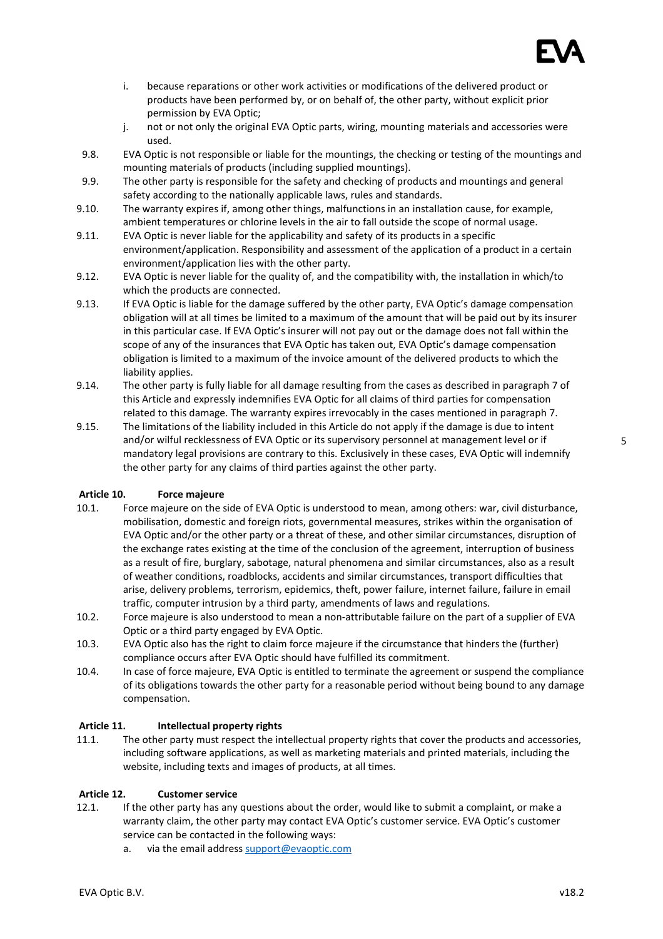

- i. because reparations or other work activities or modifications of the delivered product or products have been performed by, or on behalf of, the other party, without explicit prior permission by EVA Optic;
- j. not or not only the original EVA Optic parts, wiring, mounting materials and accessories were used.
- 9.8. EVA Optic is not responsible or liable for the mountings, the checking or testing of the mountings and mounting materials of products (including supplied mountings).
- 9.9. The other party is responsible for the safety and checking of products and mountings and general safety according to the nationally applicable laws, rules and standards.
- 9.10. The warranty expires if, among other things, malfunctions in an installation cause, for example, ambient temperatures or chlorine levels in the air to fall outside the scope of normal usage.
- 9.11. EVA Optic is never liable for the applicability and safety of its products in a specific environment/application. Responsibility and assessment of the application of a product in a certain environment/application lies with the other party.
- 9.12. EVA Optic is never liable for the quality of, and the compatibility with, the installation in which/to which the products are connected.
- 9.13. If EVA Optic is liable for the damage suffered by the other party, EVA Optic's damage compensation obligation will at all times be limited to a maximum of the amount that will be paid out by its insurer in this particular case. If EVA Optic's insurer will not pay out or the damage does not fall within the scope of any of the insurances that EVA Optic has taken out, EVA Optic's damage compensation obligation is limited to a maximum of the invoice amount of the delivered products to which the liability applies.
- 9.14. The other party is fully liable for all damage resulting from the cases as described in paragraph 7 of this Article and expressly indemnifies EVA Optic for all claims of third parties for compensation related to this damage. The warranty expires irrevocably in the cases mentioned in paragraph 7.
- 9.15. The limitations of the liability included in this Article do not apply if the damage is due to intent and/or wilful recklessness of EVA Optic or its supervisory personnel at management level or if mandatory legal provisions are contrary to this. Exclusively in these cases, EVA Optic will indemnify the other party for any claims of third parties against the other party.

### Article 10. Force majeure

- 10.1. Force majeure on the side of EVA Optic is understood to mean, among others: war, civil disturbance, mobilisation, domestic and foreign riots, governmental measures, strikes within the organisation of EVA Optic and/or the other party or a threat of these, and other similar circumstances, disruption of the exchange rates existing at the time of the conclusion of the agreement, interruption of business as a result of fire, burglary, sabotage, natural phenomena and similar circumstances, also as a result of weather conditions, roadblocks, accidents and similar circumstances, transport difficulties that arise, delivery problems, terrorism, epidemics, theft, power failure, internet failure, failure in email traffic, computer intrusion by a third party, amendments of laws and regulations.
- 10.2. Force majeure is also understood to mean a non-attributable failure on the part of a supplier of EVA Optic or a third party engaged by EVA Optic.
- 10.3. EVA Optic also has the right to claim force majeure if the circumstance that hinders the (further) compliance occurs after EVA Optic should have fulfilled its commitment.
- 10.4. In case of force majeure, EVA Optic is entitled to terminate the agreement or suspend the compliance of its obligations towards the other party for a reasonable period without being bound to any damage compensation.

### Article 11. Intellectual property rights

11.1. The other party must respect the intellectual property rights that cover the products and accessories, including software applications, as well as marketing materials and printed materials, including the website, including texts and images of products, at all times.

### Article 12. Customer service

- 12.1. If the other party has any questions about the order, would like to submit a complaint, or make a warranty claim, the other party may contact EVA Optic's customer service. EVA Optic's customer service can be contacted in the following ways:
	- a. via the email address support@evaoptic.com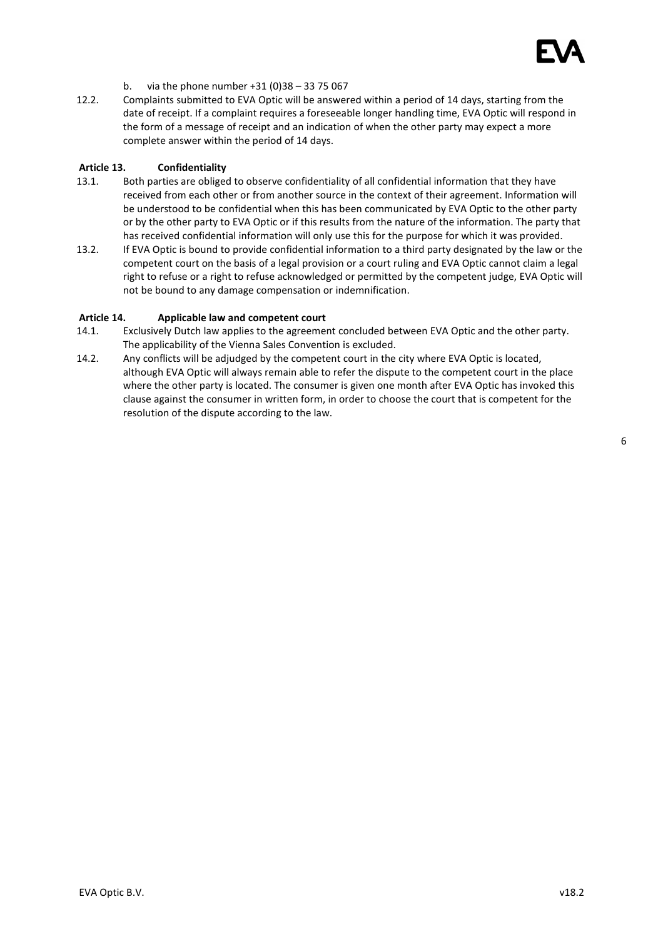

- b. via the phone number +31 (0)38 33 75 067
- 12.2. Complaints submitted to EVA Optic will be answered within a period of 14 days, starting from the date of receipt. If a complaint requires a foreseeable longer handling time, EVA Optic will respond in the form of a message of receipt and an indication of when the other party may expect a more complete answer within the period of 14 days.

#### Article 13. Confidentiality

- 13.1. Both parties are obliged to observe confidentiality of all confidential information that they have received from each other or from another source in the context of their agreement. Information will be understood to be confidential when this has been communicated by EVA Optic to the other party or by the other party to EVA Optic or if this results from the nature of the information. The party that has received confidential information will only use this for the purpose for which it was provided.
- 13.2. If EVA Optic is bound to provide confidential information to a third party designated by the law or the competent court on the basis of a legal provision or a court ruling and EVA Optic cannot claim a legal right to refuse or a right to refuse acknowledged or permitted by the competent judge, EVA Optic will not be bound to any damage compensation or indemnification.

### Article 14. Applicable law and competent court

- 14.1. Exclusively Dutch law applies to the agreement concluded between EVA Optic and the other party. The applicability of the Vienna Sales Convention is excluded.
- 14.2. Any conflicts will be adjudged by the competent court in the city where EVA Optic is located, although EVA Optic will always remain able to refer the dispute to the competent court in the place where the other party is located. The consumer is given one month after EVA Optic has invoked this clause against the consumer in written form, in order to choose the court that is competent for the resolution of the dispute according to the law.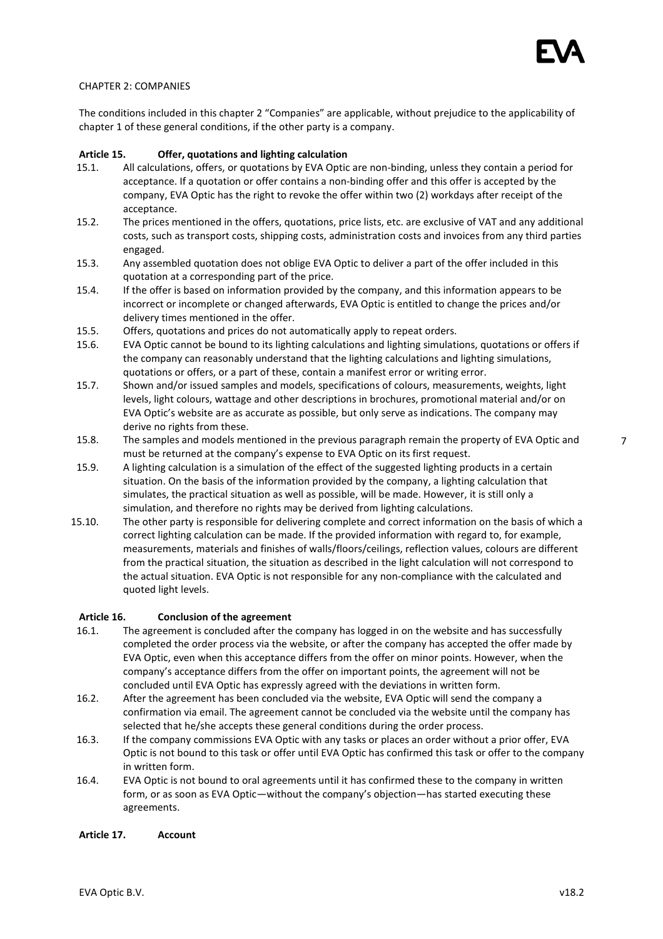### CHAPTER 2: COMPANIES

The conditions included in this chapter 2 "Companies" are applicable, without prejudice to the applicability of chapter 1 of these general conditions, if the other party is a company.

### Article 15. Offer, quotations and lighting calculation

- 15.1. All calculations, offers, or quotations by EVA Optic are non-binding, unless they contain a period for acceptance. If a quotation or offer contains a non-binding offer and this offer is accepted by the company, EVA Optic has the right to revoke the offer within two (2) workdays after receipt of the acceptance.
- 15.2. The prices mentioned in the offers, quotations, price lists, etc. are exclusive of VAT and any additional costs, such as transport costs, shipping costs, administration costs and invoices from any third parties engaged.
- 15.3. Any assembled quotation does not oblige EVA Optic to deliver a part of the offer included in this quotation at a corresponding part of the price.
- 15.4. If the offer is based on information provided by the company, and this information appears to be incorrect or incomplete or changed afterwards, EVA Optic is entitled to change the prices and/or delivery times mentioned in the offer.
- 15.5. Offers, quotations and prices do not automatically apply to repeat orders.
- 15.6. EVA Optic cannot be bound to its lighting calculations and lighting simulations, quotations or offers if the company can reasonably understand that the lighting calculations and lighting simulations, quotations or offers, or a part of these, contain a manifest error or writing error.
- 15.7. Shown and/or issued samples and models, specifications of colours, measurements, weights, light levels, light colours, wattage and other descriptions in brochures, promotional material and/or on EVA Optic's website are as accurate as possible, but only serve as indications. The company may derive no rights from these.
- 15.8. The samples and models mentioned in the previous paragraph remain the property of EVA Optic and must be returned at the company's expense to EVA Optic on its first request.
- 15.9. A lighting calculation is a simulation of the effect of the suggested lighting products in a certain situation. On the basis of the information provided by the company, a lighting calculation that simulates, the practical situation as well as possible, will be made. However, it is still only a simulation, and therefore no rights may be derived from lighting calculations.
- 15.10. The other party is responsible for delivering complete and correct information on the basis of which a correct lighting calculation can be made. If the provided information with regard to, for example, measurements, materials and finishes of walls/floors/ceilings, reflection values, colours are different from the practical situation, the situation as described in the light calculation will not correspond to the actual situation. EVA Optic is not responsible for any non-compliance with the calculated and quoted light levels.

#### Article 16. Conclusion of the agreement

- 16.1. The agreement is concluded after the company has logged in on the website and has successfully completed the order process via the website, or after the company has accepted the offer made by EVA Optic, even when this acceptance differs from the offer on minor points. However, when the company's acceptance differs from the offer on important points, the agreement will not be concluded until EVA Optic has expressly agreed with the deviations in written form.
- 16.2. After the agreement has been concluded via the website, EVA Optic will send the company a confirmation via email. The agreement cannot be concluded via the website until the company has selected that he/she accepts these general conditions during the order process.
- 16.3. If the company commissions EVA Optic with any tasks or places an order without a prior offer, EVA Optic is not bound to this task or offer until EVA Optic has confirmed this task or offer to the company in written form.
- 16.4. EVA Optic is not bound to oral agreements until it has confirmed these to the company in written form, or as soon as EVA Optic—without the company's objection—has started executing these agreements.

#### Article 17. Account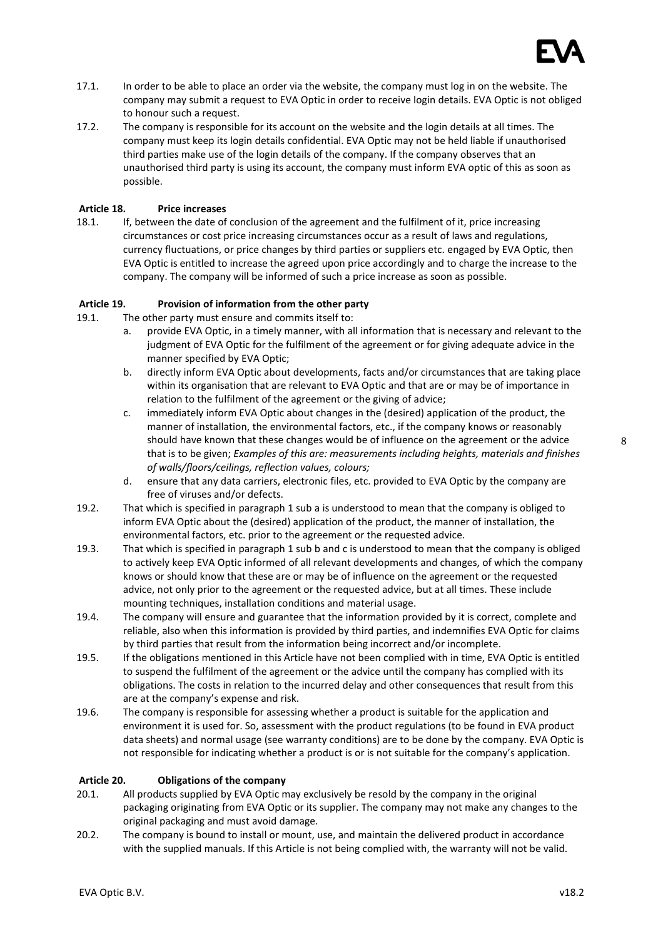

- 17.1. In order to be able to place an order via the website, the company must log in on the website. The company may submit a request to EVA Optic in order to receive login details. EVA Optic is not obliged to honour such a request.
- 17.2. The company is responsible for its account on the website and the login details at all times. The company must keep its login details confidential. EVA Optic may not be held liable if unauthorised third parties make use of the login details of the company. If the company observes that an unauthorised third party is using its account, the company must inform EVA optic of this as soon as possible.

# Article 18. Price increases

18.1. If, between the date of conclusion of the agreement and the fulfilment of it, price increasing circumstances or cost price increasing circumstances occur as a result of laws and regulations, currency fluctuations, or price changes by third parties or suppliers etc. engaged by EVA Optic, then EVA Optic is entitled to increase the agreed upon price accordingly and to charge the increase to the company. The company will be informed of such a price increase as soon as possible.

### Article 19. Provision of information from the other party

19.1. The other party must ensure and commits itself to:

- a. provide EVA Optic, in a timely manner, with all information that is necessary and relevant to the judgment of EVA Optic for the fulfilment of the agreement or for giving adequate advice in the manner specified by EVA Optic;
- b. directly inform EVA Optic about developments, facts and/or circumstances that are taking place within its organisation that are relevant to EVA Optic and that are or may be of importance in relation to the fulfilment of the agreement or the giving of advice;
- c. immediately inform EVA Optic about changes in the (desired) application of the product, the manner of installation, the environmental factors, etc., if the company knows or reasonably should have known that these changes would be of influence on the agreement or the advice that is to be given; Examples of this are: measurements including heights, materials and finishes of walls/floors/ceilings, reflection values, colours;
- d. ensure that any data carriers, electronic files, etc. provided to EVA Optic by the company are free of viruses and/or defects.
- 19.2. That which is specified in paragraph 1 sub a is understood to mean that the company is obliged to inform EVA Optic about the (desired) application of the product, the manner of installation, the environmental factors, etc. prior to the agreement or the requested advice.
- 19.3. That which is specified in paragraph 1 sub b and c is understood to mean that the company is obliged to actively keep EVA Optic informed of all relevant developments and changes, of which the company knows or should know that these are or may be of influence on the agreement or the requested advice, not only prior to the agreement or the requested advice, but at all times. These include mounting techniques, installation conditions and material usage.
- 19.4. The company will ensure and guarantee that the information provided by it is correct, complete and reliable, also when this information is provided by third parties, and indemnifies EVA Optic for claims by third parties that result from the information being incorrect and/or incomplete.
- 19.5. If the obligations mentioned in this Article have not been complied with in time, EVA Optic is entitled to suspend the fulfilment of the agreement or the advice until the company has complied with its obligations. The costs in relation to the incurred delay and other consequences that result from this are at the company's expense and risk.
- 19.6. The company is responsible for assessing whether a product is suitable for the application and environment it is used for. So, assessment with the product regulations (to be found in EVA product data sheets) and normal usage (see warranty conditions) are to be done by the company. EVA Optic is not responsible for indicating whether a product is or is not suitable for the company's application.

# Article 20. Obligations of the company

- 20.1. All products supplied by EVA Optic may exclusively be resold by the company in the original packaging originating from EVA Optic or its supplier. The company may not make any changes to the original packaging and must avoid damage.
- 20.2. The company is bound to install or mount, use, and maintain the delivered product in accordance with the supplied manuals. If this Article is not being complied with, the warranty will not be valid.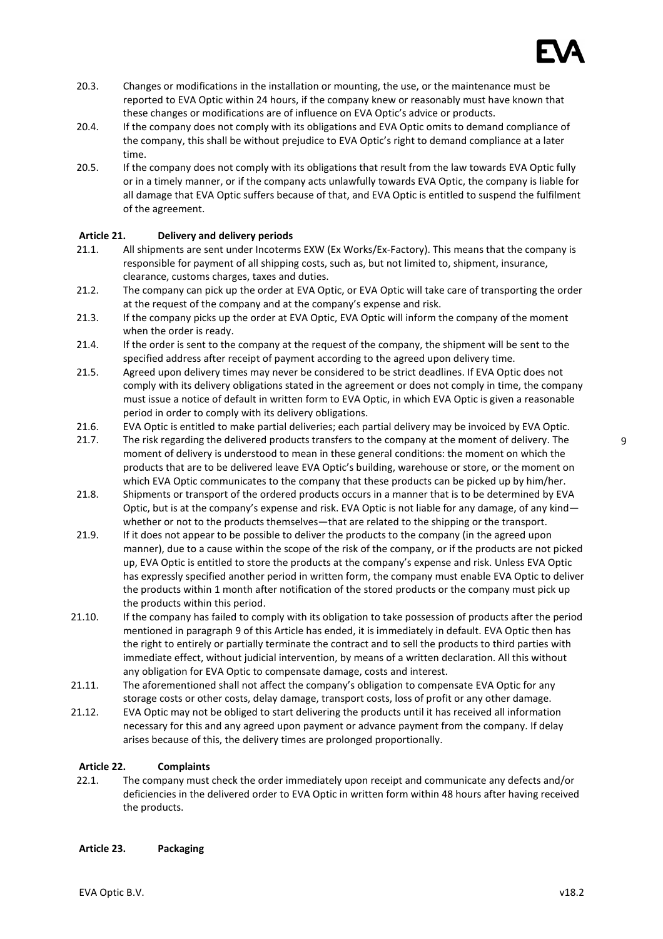

- 20.3. Changes or modifications in the installation or mounting, the use, or the maintenance must be reported to EVA Optic within 24 hours, if the company knew or reasonably must have known that these changes or modifications are of influence on EVA Optic's advice or products.
- 20.4. If the company does not comply with its obligations and EVA Optic omits to demand compliance of the company, this shall be without prejudice to EVA Optic's right to demand compliance at a later time.
- 20.5. If the company does not comply with its obligations that result from the law towards EVA Optic fully or in a timely manner, or if the company acts unlawfully towards EVA Optic, the company is liable for all damage that EVA Optic suffers because of that, and EVA Optic is entitled to suspend the fulfilment of the agreement.

# Article 21. Delivery and delivery periods

- 21.1. All shipments are sent under Incoterms EXW (Ex Works/Ex-Factory). This means that the company is responsible for payment of all shipping costs, such as, but not limited to, shipment, insurance, clearance, customs charges, taxes and duties.
- 21.2. The company can pick up the order at EVA Optic, or EVA Optic will take care of transporting the order at the request of the company and at the company's expense and risk.
- 21.3. If the company picks up the order at EVA Optic, EVA Optic will inform the company of the moment when the order is ready.
- 21.4. If the order is sent to the company at the request of the company, the shipment will be sent to the specified address after receipt of payment according to the agreed upon delivery time.
- 21.5. Agreed upon delivery times may never be considered to be strict deadlines. If EVA Optic does not comply with its delivery obligations stated in the agreement or does not comply in time, the company must issue a notice of default in written form to EVA Optic, in which EVA Optic is given a reasonable period in order to comply with its delivery obligations.
- 21.6. EVA Optic is entitled to make partial deliveries; each partial delivery may be invoiced by EVA Optic.
- 21.7. The risk regarding the delivered products transfers to the company at the moment of delivery. The moment of delivery is understood to mean in these general conditions: the moment on which the products that are to be delivered leave EVA Optic's building, warehouse or store, or the moment on which EVA Optic communicates to the company that these products can be picked up by him/her.
- 21.8. Shipments or transport of the ordered products occurs in a manner that is to be determined by EVA Optic, but is at the company's expense and risk. EVA Optic is not liable for any damage, of any kind whether or not to the products themselves—that are related to the shipping or the transport.
- 21.9. If it does not appear to be possible to deliver the products to the company (in the agreed upon manner), due to a cause within the scope of the risk of the company, or if the products are not picked up, EVA Optic is entitled to store the products at the company's expense and risk. Unless EVA Optic has expressly specified another period in written form, the company must enable EVA Optic to deliver the products within 1 month after notification of the stored products or the company must pick up the products within this period.
- 21.10. If the company has failed to comply with its obligation to take possession of products after the period mentioned in paragraph 9 of this Article has ended, it is immediately in default. EVA Optic then has the right to entirely or partially terminate the contract and to sell the products to third parties with immediate effect, without judicial intervention, by means of a written declaration. All this without any obligation for EVA Optic to compensate damage, costs and interest.
- 21.11. The aforementioned shall not affect the company's obligation to compensate EVA Optic for any storage costs or other costs, delay damage, transport costs, loss of profit or any other damage.
- 21.12. EVA Optic may not be obliged to start delivering the products until it has received all information necessary for this and any agreed upon payment or advance payment from the company. If delay arises because of this, the delivery times are prolonged proportionally.

### Article 22. Complaints

22.1. The company must check the order immediately upon receipt and communicate any defects and/or deficiencies in the delivered order to EVA Optic in written form within 48 hours after having received the products.

### Article 23. Packaging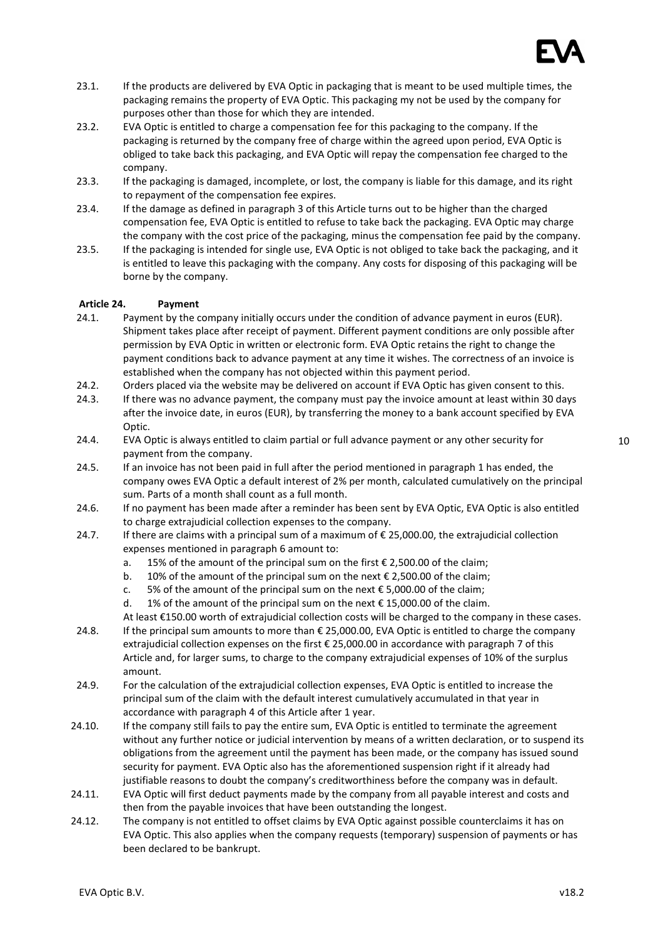

- 23.1. If the products are delivered by EVA Optic in packaging that is meant to be used multiple times, the packaging remains the property of EVA Optic. This packaging my not be used by the company for purposes other than those for which they are intended.
- 23.2. EVA Optic is entitled to charge a compensation fee for this packaging to the company. If the packaging is returned by the company free of charge within the agreed upon period, EVA Optic is obliged to take back this packaging, and EVA Optic will repay the compensation fee charged to the company.
- 23.3. If the packaging is damaged, incomplete, or lost, the company is liable for this damage, and its right to repayment of the compensation fee expires.
- 23.4. If the damage as defined in paragraph 3 of this Article turns out to be higher than the charged compensation fee, EVA Optic is entitled to refuse to take back the packaging. EVA Optic may charge the company with the cost price of the packaging, minus the compensation fee paid by the company.
- 23.5. If the packaging is intended for single use, EVA Optic is not obliged to take back the packaging, and it is entitled to leave this packaging with the company. Any costs for disposing of this packaging will be borne by the company.

### Article 24. Payment

- 24.1. Payment by the company initially occurs under the condition of advance payment in euros (EUR). Shipment takes place after receipt of payment. Different payment conditions are only possible after permission by EVA Optic in written or electronic form. EVA Optic retains the right to change the payment conditions back to advance payment at any time it wishes. The correctness of an invoice is established when the company has not objected within this payment period.
- 24.2. Orders placed via the website may be delivered on account if EVA Optic has given consent to this.
- 24.3. If there was no advance payment, the company must pay the invoice amount at least within 30 days after the invoice date, in euros (EUR), by transferring the money to a bank account specified by EVA Optic.
- 24.4. EVA Optic is always entitled to claim partial or full advance payment or any other security for payment from the company.
- 24.5. If an invoice has not been paid in full after the period mentioned in paragraph 1 has ended, the company owes EVA Optic a default interest of 2% per month, calculated cumulatively on the principal sum. Parts of a month shall count as a full month.
- 24.6. If no payment has been made after a reminder has been sent by EVA Optic, EVA Optic is also entitled to charge extrajudicial collection expenses to the company.
- 24.7. If there are claims with a principal sum of a maximum of  $\epsilon$  25,000.00, the extrajudicial collection expenses mentioned in paragraph 6 amount to:
	- a. 15% of the amount of the principal sum on the first  $\epsilon$  2,500.00 of the claim;
	- b. 10% of the amount of the principal sum on the next  $\epsilon$  2,500.00 of the claim;
	- c. 5% of the amount of the principal sum on the next  $\epsilon$  5,000.00 of the claim;
	- d. 1% of the amount of the principal sum on the next  $\epsilon$  15,000.00 of the claim.

At least €150.00 worth of extrajudicial collection costs will be charged to the company in these cases.

- 24.8. If the principal sum amounts to more than € 25,000.00, EVA Optic is entitled to charge the company extrajudicial collection expenses on the first € 25,000.00 in accordance with paragraph 7 of this Article and, for larger sums, to charge to the company extrajudicial expenses of 10% of the surplus amount.
- 24.9. For the calculation of the extrajudicial collection expenses, EVA Optic is entitled to increase the principal sum of the claim with the default interest cumulatively accumulated in that year in accordance with paragraph 4 of this Article after 1 year.
- 24.10. If the company still fails to pay the entire sum, EVA Optic is entitled to terminate the agreement without any further notice or judicial intervention by means of a written declaration, or to suspend its obligations from the agreement until the payment has been made, or the company has issued sound security for payment. EVA Optic also has the aforementioned suspension right if it already had justifiable reasons to doubt the company's creditworthiness before the company was in default.
- 24.11. EVA Optic will first deduct payments made by the company from all payable interest and costs and then from the payable invoices that have been outstanding the longest.
- 24.12. The company is not entitled to offset claims by EVA Optic against possible counterclaims it has on EVA Optic. This also applies when the company requests (temporary) suspension of payments or has been declared to be bankrupt.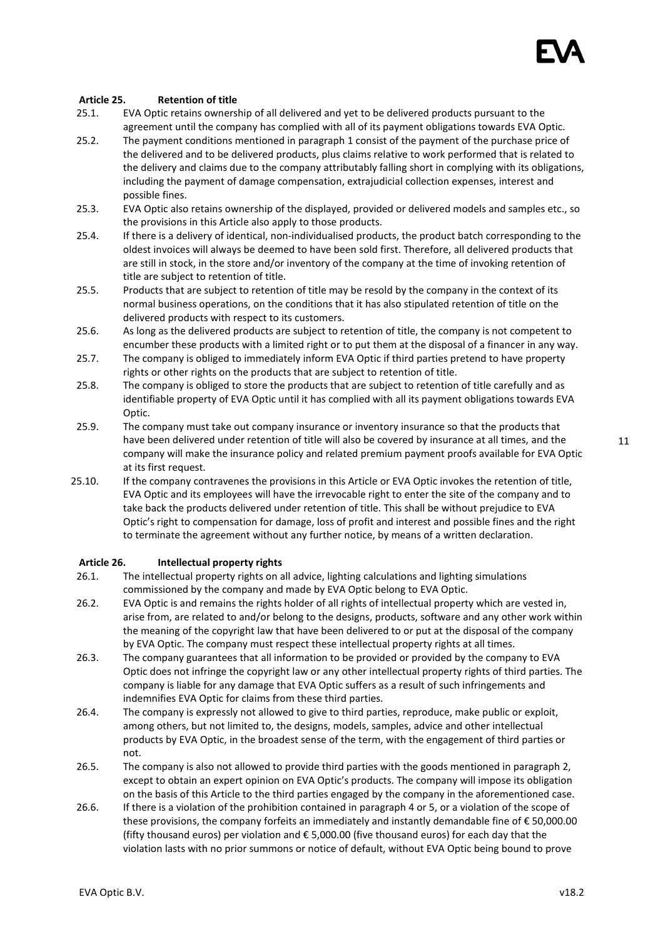

#### Article 25. Retention of title

- 25.1. EVA Optic retains ownership of all delivered and yet to be delivered products pursuant to the agreement until the company has complied with all of its payment obligations towards EVA Optic.
- 25.2. The payment conditions mentioned in paragraph 1 consist of the payment of the purchase price of the delivered and to be delivered products, plus claims relative to work performed that is related to the delivery and claims due to the company attributably falling short in complying with its obligations, including the payment of damage compensation, extrajudicial collection expenses, interest and possible fines.
- 25.3. EVA Optic also retains ownership of the displayed, provided or delivered models and samples etc., so the provisions in this Article also apply to those products.
- 25.4. If there is a delivery of identical, non-individualised products, the product batch corresponding to the oldest invoices will always be deemed to have been sold first. Therefore, all delivered products that are still in stock, in the store and/or inventory of the company at the time of invoking retention of title are subject to retention of title.
- 25.5. Products that are subject to retention of title may be resold by the company in the context of its normal business operations, on the conditions that it has also stipulated retention of title on the delivered products with respect to its customers.
- 25.6. As long as the delivered products are subject to retention of title, the company is not competent to encumber these products with a limited right or to put them at the disposal of a financer in any way.
- 25.7. The company is obliged to immediately inform EVA Optic if third parties pretend to have property rights or other rights on the products that are subject to retention of title.
- 25.8. The company is obliged to store the products that are subject to retention of title carefully and as identifiable property of EVA Optic until it has complied with all its payment obligations towards EVA Optic.
- 25.9. The company must take out company insurance or inventory insurance so that the products that have been delivered under retention of title will also be covered by insurance at all times, and the company will make the insurance policy and related premium payment proofs available for EVA Optic at its first request.
- 25.10. If the company contravenes the provisions in this Article or EVA Optic invokes the retention of title, EVA Optic and its employees will have the irrevocable right to enter the site of the company and to take back the products delivered under retention of title. This shall be without prejudice to EVA Optic's right to compensation for damage, loss of profit and interest and possible fines and the right to terminate the agreement without any further notice, by means of a written declaration.

### Article 26. Intellectual property rights

- 26.1. The intellectual property rights on all advice, lighting calculations and lighting simulations commissioned by the company and made by EVA Optic belong to EVA Optic.
- 26.2. EVA Optic is and remains the rights holder of all rights of intellectual property which are vested in, arise from, are related to and/or belong to the designs, products, software and any other work within the meaning of the copyright law that have been delivered to or put at the disposal of the company by EVA Optic. The company must respect these intellectual property rights at all times.
- 26.3. The company guarantees that all information to be provided or provided by the company to EVA Optic does not infringe the copyright law or any other intellectual property rights of third parties. The company is liable for any damage that EVA Optic suffers as a result of such infringements and indemnifies EVA Optic for claims from these third parties.
- 26.4. The company is expressly not allowed to give to third parties, reproduce, make public or exploit, among others, but not limited to, the designs, models, samples, advice and other intellectual products by EVA Optic, in the broadest sense of the term, with the engagement of third parties or not.
- 26.5. The company is also not allowed to provide third parties with the goods mentioned in paragraph 2, except to obtain an expert opinion on EVA Optic's products. The company will impose its obligation on the basis of this Article to the third parties engaged by the company in the aforementioned case.
- 26.6. If there is a violation of the prohibition contained in paragraph 4 or 5, or a violation of the scope of these provisions, the company forfeits an immediately and instantly demandable fine of € 50,000.00 (fifty thousand euros) per violation and € 5,000.00 (five thousand euros) for each day that the violation lasts with no prior summons or notice of default, without EVA Optic being bound to prove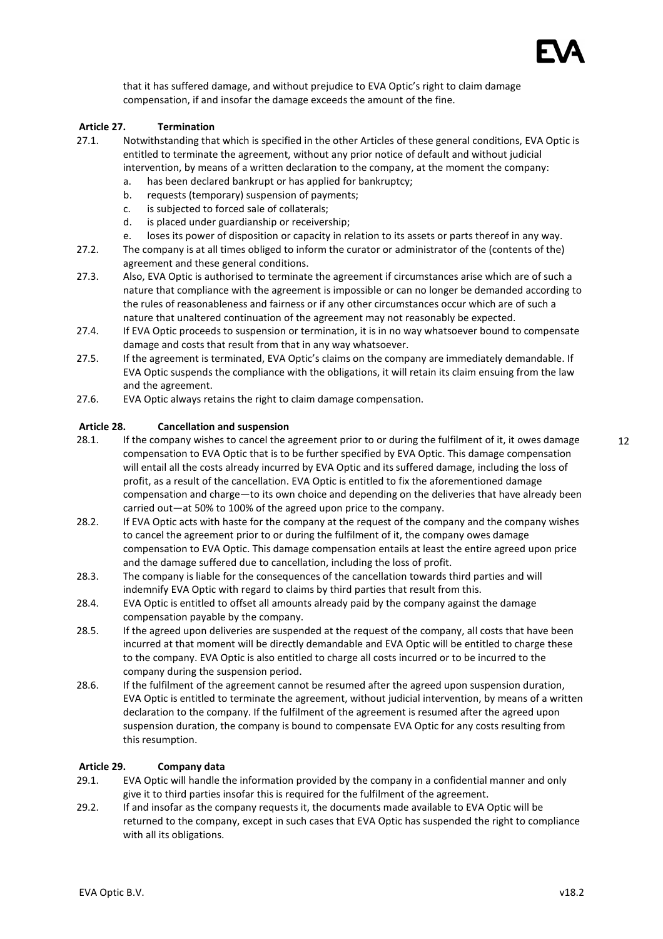

that it has suffered damage, and without prejudice to EVA Optic's right to claim damage compensation, if and insofar the damage exceeds the amount of the fine.

### Article 27. Termination

- 27.1. Notwithstanding that which is specified in the other Articles of these general conditions, EVA Optic is entitled to terminate the agreement, without any prior notice of default and without judicial intervention, by means of a written declaration to the company, at the moment the company:
	- a. has been declared bankrupt or has applied for bankruptcy;
	- b. requests (temporary) suspension of payments;
	- c. is subjected to forced sale of collaterals;
	- d. is placed under guardianship or receivership;
	- e. loses its power of disposition or capacity in relation to its assets or parts thereof in any way.
- 27.2. The company is at all times obliged to inform the curator or administrator of the (contents of the) agreement and these general conditions.
- 27.3. Also, EVA Optic is authorised to terminate the agreement if circumstances arise which are of such a nature that compliance with the agreement is impossible or can no longer be demanded according to the rules of reasonableness and fairness or if any other circumstances occur which are of such a nature that unaltered continuation of the agreement may not reasonably be expected.
- 27.4. If EVA Optic proceeds to suspension or termination, it is in no way whatsoever bound to compensate damage and costs that result from that in any way whatsoever.
- 27.5. If the agreement is terminated, EVA Optic's claims on the company are immediately demandable. If EVA Optic suspends the compliance with the obligations, it will retain its claim ensuing from the law and the agreement.
- 27.6. EVA Optic always retains the right to claim damage compensation.

# Article 28. Cancellation and suspension

- 28.1. If the company wishes to cancel the agreement prior to or during the fulfilment of it, it owes damage compensation to EVA Optic that is to be further specified by EVA Optic. This damage compensation will entail all the costs already incurred by EVA Optic and its suffered damage, including the loss of profit, as a result of the cancellation. EVA Optic is entitled to fix the aforementioned damage compensation and charge—to its own choice and depending on the deliveries that have already been carried out—at 50% to 100% of the agreed upon price to the company.
- 28.2. If EVA Optic acts with haste for the company at the request of the company and the company wishes to cancel the agreement prior to or during the fulfilment of it, the company owes damage compensation to EVA Optic. This damage compensation entails at least the entire agreed upon price and the damage suffered due to cancellation, including the loss of profit.
- 28.3. The company is liable for the consequences of the cancellation towards third parties and will indemnify EVA Optic with regard to claims by third parties that result from this.
- 28.4. EVA Optic is entitled to offset all amounts already paid by the company against the damage compensation payable by the company.
- 28.5. If the agreed upon deliveries are suspended at the request of the company, all costs that have been incurred at that moment will be directly demandable and EVA Optic will be entitled to charge these to the company. EVA Optic is also entitled to charge all costs incurred or to be incurred to the company during the suspension period.
- 28.6. If the fulfilment of the agreement cannot be resumed after the agreed upon suspension duration, EVA Optic is entitled to terminate the agreement, without judicial intervention, by means of a written declaration to the company. If the fulfilment of the agreement is resumed after the agreed upon suspension duration, the company is bound to compensate EVA Optic for any costs resulting from this resumption.

### Article 29. Company data

- 29.1. EVA Optic will handle the information provided by the company in a confidential manner and only give it to third parties insofar this is required for the fulfilment of the agreement.
- 29.2. If and insofar as the company requests it, the documents made available to EVA Optic will be returned to the company, except in such cases that EVA Optic has suspended the right to compliance with all its obligations.